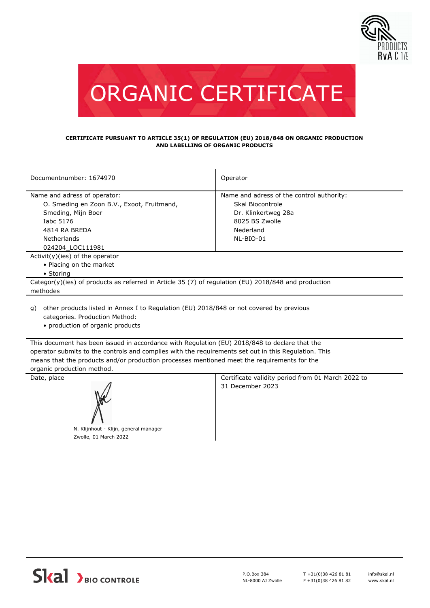



#### **CERTIFICATE PURSUANT TO ARTICLE 35(1) OF REGULATION (EU) 2018/848 ON ORGANIC PRODUCTION AND LABELLING OF ORGANIC PRODUCTS**

| Documentnumber: 1674970                                                                                                                                           | Operator                                                                                                                         |  |  |
|-------------------------------------------------------------------------------------------------------------------------------------------------------------------|----------------------------------------------------------------------------------------------------------------------------------|--|--|
| Name and adress of operator:<br>O. Smeding en Zoon B.V., Exoot, Fruitmand,<br>Smeding, Mijn Boer<br>Iabc 5176<br>4814 RA BREDA<br>Netherlands<br>024204 LOC111981 | Name and adress of the control authority:<br>Skal Biocontrole<br>Dr. Klinkertweg 28a<br>8025 BS Zwolle<br>Nederland<br>NL-BIO-01 |  |  |
| $Activity)(ies)$ of the operator                                                                                                                                  |                                                                                                                                  |  |  |
| • Placing on the market<br>• Storing                                                                                                                              |                                                                                                                                  |  |  |
| Categor(y)(ies) of products as referred in Article 35 (7) of regulation (EU) 2018/848 and production<br>methodes                                                  |                                                                                                                                  |  |  |

other products listed in Annex I to Regulation (EU) 2018/848 or not covered by previous g) categories. Production Method:

• production of organic products

This document has been issued in accordance with Regulation (EU) 2018/848 to declare that the operator submits to the controls and complies with the requirements set out in this Regulation. This means that the products and/or production processes mentioned meet the requirements for the organic production method.



N. Klijnhout - Klijn, general manager Zwolle, 01 March 2022

Date, place **Certificate validity period from 01 March 2022 to** Certificate validity period from 01 March 2022 to 31 December 2023